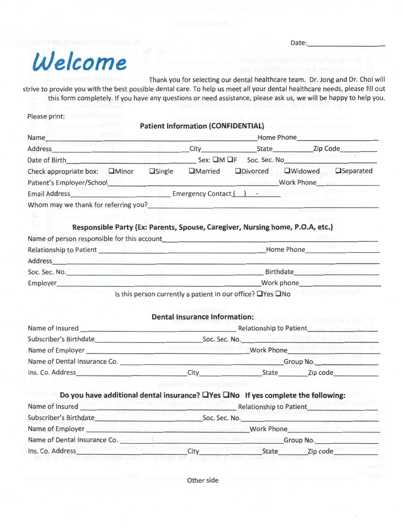Date: \_\_\_\_\_\_\_\_ \_

# *Welcome*

Thank you for selecting our dental healthcare team. Dr. Jong and Dr. Choi will

strive to provide you with the best possible dental care. To help us meet all your dental healthcare needs, please fill out this form completely. If you have any questions or need assistance, please ask us, we will be happy to help you.

Please print:

**Patient Information {CONFIDENTIAL)** 

| Name                                    |               | 1.911                    |                  | Home Phone        |                  |
|-----------------------------------------|---------------|--------------------------|------------------|-------------------|------------------|
| Address                                 |               | City                     | State            |                   | Zip Code         |
| Date of Birth                           |               | $Sex: \squareM \squareF$ | Soc. Sec. No     |                   |                  |
| Check appropriate box:<br><b>OMinor</b> | $\Box$ Single | <b>OMarried</b>          | <b>ODivorced</b> | <b>OWidowed</b>   | <b>Separated</b> |
| Patient's Employer/School               |               |                          |                  | <b>Work Phone</b> |                  |
| <b>Email Address</b>                    |               | Emergency Contact (      |                  |                   |                  |
| Whom may we thank for referring you?    |               |                          |                  |                   |                  |

## **Responsible Party {Ex: Parents, Spouse, Caregiver, Nursing home, P.O.A, etc.)**

| Name of person responsible for this account |            |
|---------------------------------------------|------------|
| Relationship to Patient                     | Home Phone |
| Address                                     |            |
| Soc. Sec. No.                               | Birthdate  |
| <b>Employer</b>                             | Work phone |

Is this person currently a patient in our office? OYes ONo

## **Dental Insurance Information:**

| Name of Insured              | <b>Relationship to Patient</b> |          |  |  |
|------------------------------|--------------------------------|----------|--|--|
| Subscriber's Birthdate       | Soc. Sec. No.                  |          |  |  |
| Name of Employer             | Work Phone                     |          |  |  |
| Name of Dental Insurance Co. | Group No.                      |          |  |  |
| Ins. Co. Address             | State<br>City                  | Zip code |  |  |

| Do you have additional dental insurance? $\Box$ Yes $\Box$ No If yes complete the following: |                         |       |          |  |
|----------------------------------------------------------------------------------------------|-------------------------|-------|----------|--|
| Name of Insured                                                                              | Relationship to Patient |       |          |  |
| Subscriber's Birthdate                                                                       | Soc. Sec. No.           |       |          |  |
| Name of Employer                                                                             | <b>Work Phone</b>       |       |          |  |
| Name of Dental Insurance Co.                                                                 | Group No.               |       |          |  |
| Ins. Co. Address                                                                             | City                    | State | Zip code |  |

Other side